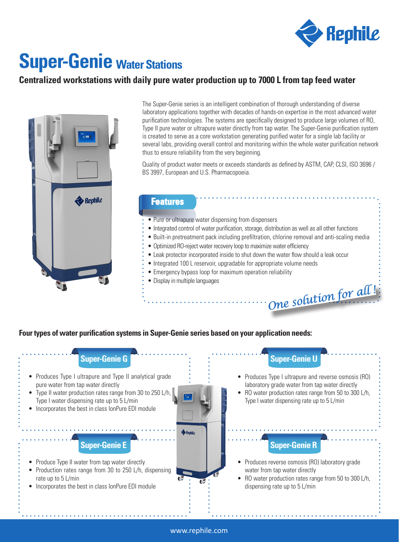

*One solution for all !*

# **Super-Genie Water Stations**

## **Centralized workstations with daily pure water production up to 7000 L from tap feed water**



The Super-Genie series is an intelligent combination of thorough understanding of diverse laboratory applications together with decades of hands-on expertise in the most advanced water purification technologies. The systems are specifically designed to produce large volumes of RO, Type II pure water or ultrapure water directly from tap water. The Super-Genie purification system is created to serve as a core workstation generating purified water for a single lab facility or several labs, providing overall control and monitoring within the whole water purification network thus to ensure reliability from the very beginning.

Quality of product water meets or exceeds standards as defined by ASTM, CAP, CLSI, ISO 3696 / BS 3997, European and U.S. Pharmacopoeia.

### **Features**

- Pure or ultrapure water dispensing from dispensers
- Integrated control of water purification, storage, distribution as well as all other functions
- Built-in pretreatment pack including prefiltration, chlorine removal and anti-scaling media
- Optimized RO-reject water recovery loop to maximize water efficiency
- Leak protector incorporated inside to shut down the water flow should a leak occur
- Integrated 100 L reservoir, upgradable for appropriate volume needs
- Emergency bypass loop for maximum operation reliability
- Display in multiple languages

**Four types of water purification systems in Super-Genie series based on your application needs:**